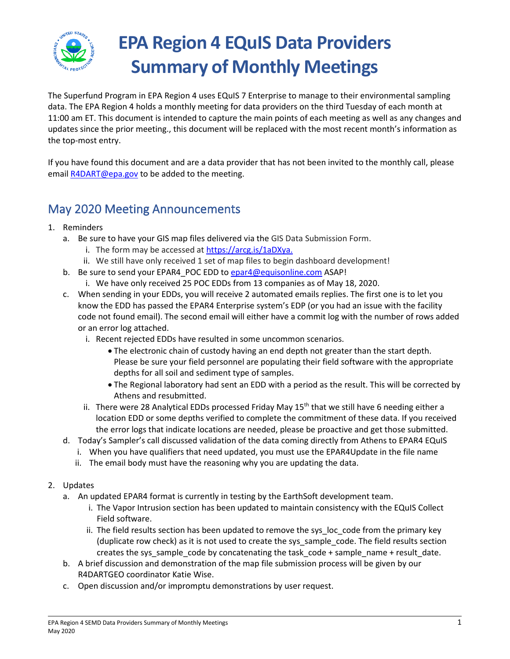

# **EPA Region 4 EQuIS Data Providers Summary of Monthly Meetings**

The Superfund Program in EPA Region 4 uses EQuIS 7 Enterprise to manage to their environmental sampling data. The EPA Region 4 holds a monthly meeting for data providers on the third Tuesday of each month at 11:00 am ET. This document is intended to capture the main points of each meeting as well as any changes and updates since the prior meeting., this document will be replaced with the most recent month's information as the top-most entry.

If you have found this document and are a data provider that has not been invited to the monthly call, please emai[l R4DART@epa.gov](mailto:R4DART@epa.gov) to be added to the meeting.

## May 2020 Meeting Announcements

- 1. Reminders
	- a. Be sure to have your GIS map files delivered via the GIS Data Submission Form.
		- i. The form may be accessed a[t https://arcg.is/1aDXya.](https://arcg.is/1aDXya)
		- ii. We still have only received 1 set of map files to begin dashboard development!
	- b. Be sure to send your EPAR4\_POC EDD to [epar4@equisonline.com](mailto:epar4@equisonline.com) ASAP!
		- i. We have only received 25 POC EDDs from 13 companies as of May 18, 2020.
	- c. When sending in your EDDs, you will receive 2 automated emails replies. The first one is to let you know the EDD has passed the EPAR4 Enterprise system's EDP (or you had an issue with the facility code not found email). The second email will either have a commit log with the number of rows added or an error log attached.
		- i. Recent rejected EDDs have resulted in some uncommon scenarios.
			- The electronic chain of custody having an end depth not greater than the start depth. Please be sure your field personnel are populating their field software with the appropriate depths for all soil and sediment type of samples.
			- The Regional laboratory had sent an EDD with a period as the result. This will be corrected by Athens and resubmitted.
		- ii. There were 28 Analytical EDDs processed Friday May  $15<sup>th</sup>$  that we still have 6 needing either a location EDD or some depths verified to complete the commitment of these data. If you received the error logs that indicate locations are needed, please be proactive and get those submitted.
	- d. Today's Sampler's call discussed validation of the data coming directly from Athens to EPAR4 EQuIS
		- i. When you have qualifiers that need updated, you must use the EPAR4Update in the file name
		- ii. The email body must have the reasoning why you are updating the data.
- 2. Updates
	- a. An updated EPAR4 format is currently in testing by the EarthSoft development team.
		- i. The Vapor Intrusion section has been updated to maintain consistency with the EQuIS Collect Field software.
		- ii. The field results section has been updated to remove the sys\_loc\_code from the primary key (duplicate row check) as it is not used to create the sys\_sample\_code. The field results section creates the sys\_sample\_code by concatenating the task\_code + sample\_name + result\_date.
	- b. A brief discussion and demonstration of the map file submission process will be given by our R4DARTGEO coordinator Katie Wise.
	- c. Open discussion and/or impromptu demonstrations by user request.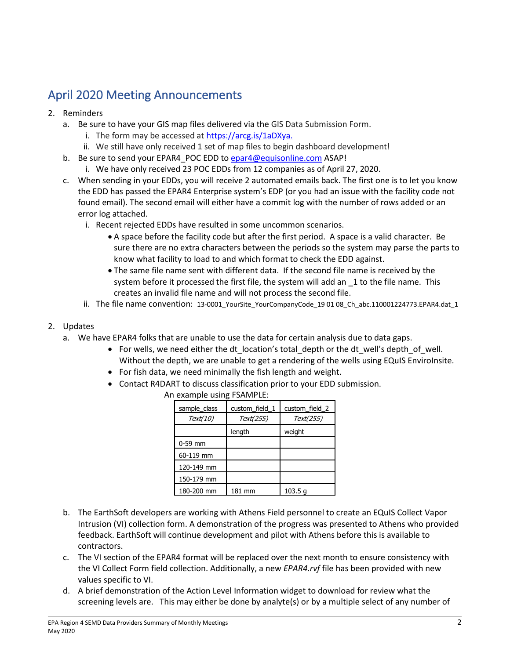# April 2020 Meeting Announcements

- 2. Reminders
	- a. Be sure to have your GIS map files delivered via the GIS Data Submission Form.
		- i. The form may be accessed a[t https://arcg.is/1aDXya.](https://arcg.is/1aDXya)
		- ii. We still have only received 1 set of map files to begin dashboard development!
	- b. Be sure to send your EPAR4 POC EDD to [epar4@equisonline.com](mailto:epar4@equisonline.com) ASAP!
		- i. We have only received 23 POC EDDs from 12 companies as of April 27, 2020.
	- c. When sending in your EDDs, you will receive 2 automated emails back. The first one is to let you know the EDD has passed the EPAR4 Enterprise system's EDP (or you had an issue with the facility code not found email). The second email will either have a commit log with the number of rows added or an error log attached.
		- i. Recent rejected EDDs have resulted in some uncommon scenarios.
			- A space before the facility code but after the first period. A space is a valid character. Be sure there are no extra characters between the periods so the system may parse the parts to know what facility to load to and which format to check the EDD against.
			- The same file name sent with different data. If the second file name is received by the system before it processed the first file, the system will add an 1 to the file name. This creates an invalid file name and will not process the second file.
		- ii. The file name convention: 13-0001 YourSite YourCompanyCode 19 01 08 Ch abc.110001224773.EPAR4.dat 1
- 2. Updates
	- a. We have EPAR4 folks that are unable to use the data for certain analysis due to data gaps.
		- For wells, we need either the dt location's total depth or the dt well's depth of well. Without the depth, we are unable to get a rendering of the wells using EQuIS EnviroInsite.
		- For fish data, we need minimally the fish length and weight.
		- Contact R4DART to discuss classification prior to your EDD submission.

| An example using FSAMPLE: |  |                               |  |  |  |
|---------------------------|--|-------------------------------|--|--|--|
|                           |  | sample_class custom_field_1 c |  |  |  |
|                           |  |                               |  |  |  |

| sample_class | custom_field_1 | custom field 2     |  |
|--------------|----------------|--------------------|--|
| Text(10)     | Text(255)      | Text(255)          |  |
|              | length         | weight             |  |
| $0-59$ mm    |                |                    |  |
| 60-119 mm    |                |                    |  |
| 120-149 mm   |                |                    |  |
| 150-179 mm   |                |                    |  |
| 180-200 mm   | 181 mm         | 103.5 <sub>q</sub> |  |

- b. The EarthSoft developers are working with Athens Field personnel to create an EQuIS Collect Vapor Intrusion (VI) collection form. A demonstration of the progress was presented to Athens who provided feedback. EarthSoft will continue development and pilot with Athens before this is available to contractors.
- c. The VI section of the EPAR4 format will be replaced over the next month to ensure consistency with the VI Collect Form field collection. Additionally, a new *EPAR4.rvf* file has been provided with new values specific to VI.
- d. A brief demonstration of the Action Level Information widget to download for review what the screening levels are. This may either be done by analyte(s) or by a multiple select of any number of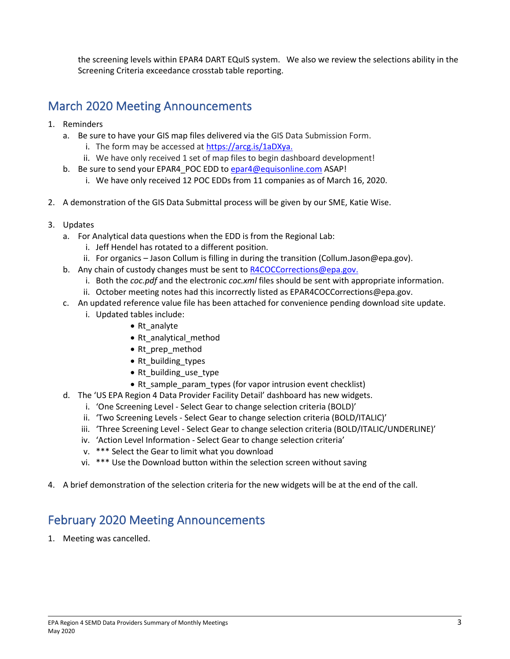the screening levels within EPAR4 DART EQuIS system. We also we review the selections ability in the Screening Criteria exceedance crosstab table reporting.

# March 2020 Meeting Announcements

- 1. Reminders
	- a. Be sure to have your GIS map files delivered via the GIS Data Submission Form.
		- i. The form may be accessed a[t https://arcg.is/1aDXya.](https://arcg.is/1aDXya)
		- ii. We have only received 1 set of map files to begin dashboard development!
	- b. Be sure to send your EPAR4\_POC EDD to [epar4@equisonline.com](mailto:epar4@equisonline.com) ASAP!
		- i. We have only received 12 POC EDDs from 11 companies as of March 16, 2020.
- 2. A demonstration of the GIS Data Submittal process will be given by our SME, Katie Wise.
- 3. Updates
	- a. For Analytical data questions when the EDD is from the Regional Lab:
		- i. Jeff Hendel has rotated to a different position.
		- ii. For organics Jason Collum is filling in during the transition (Collum.Jason@epa.gov).
	- b. Any chain of custody changes must be sent to [R4COCCorrections@epa.gov.](mailto:R4COCCorrections@epa.gov)
		- i. Both the *coc.pdf* and the electronic *coc.xml* files should be sent with appropriate information.
		- ii. October meeting notes had this incorrectly listed as EPAR4COCCorrections@epa.gov.
	- c. An updated reference value file has been attached for convenience pending download site update.
		- i. Updated tables include:
			- Rt\_analyte
			- Rt\_analytical\_method
			- Rt prep\_method
			- Rt\_building\_types
			- Rt building use type
			- Rt\_sample\_param\_types (for vapor intrusion event checklist)
	- d. The 'US EPA Region 4 Data Provider Facility Detail' dashboard has new widgets.
		- i. 'One Screening Level Select Gear to change selection criteria (BOLD)'
		- ii. 'Two Screening Levels Select Gear to change selection criteria (BOLD/ITALIC)'
		- iii. 'Three Screening Level Select Gear to change selection criteria (BOLD/ITALIC/UNDERLINE)'
		- iv. 'Action Level Information Select Gear to change selection criteria'
		- v. \*\*\* Select the Gear to limit what you download
		- vi. \*\*\* Use the Download button within the selection screen without saving
- 4. A brief demonstration of the selection criteria for the new widgets will be at the end of the call.

# February 2020 Meeting Announcements

1. Meeting was cancelled.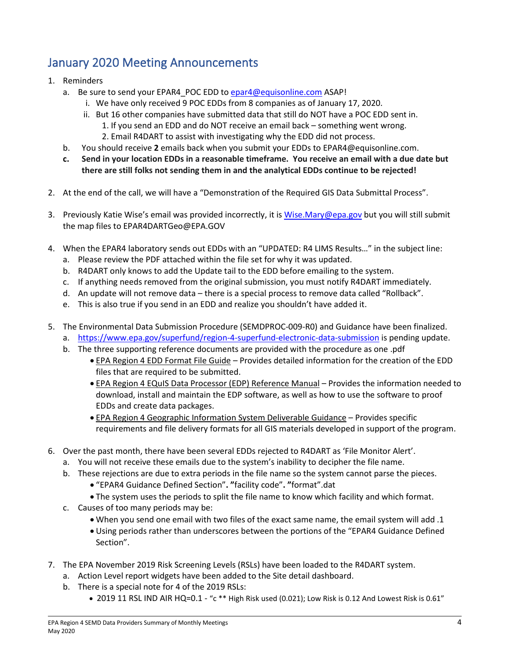# January 2020 Meeting Announcements

- 1. Reminders
	- a. Be sure to send your EPAR4 POC EDD to [epar4@equisonline.com](mailto:epar4@equisonline.com) ASAP!
		- i. We have only received 9 POC EDDs from 8 companies as of January 17, 2020.
		- ii. But 16 other companies have submitted data that still do NOT have a POC EDD sent in. 1. If you send an EDD and do NOT receive an email back – something went wrong. 2. Email R4DART to assist with investigating why the EDD did not process.
		-
	- b. You should receive **2** emails back when you submit your EDDs to EPAR4@equisonline.com.
	- **c. Send in your location EDDs in a reasonable timeframe. You receive an email with a due date but there are still folks not sending them in and the analytical EDDs continue to be rejected!**
- 2. At the end of the call, we will have a "Demonstration of the Required GIS Data Submittal Process".
- 3. Previously Katie Wise's email was provided incorrectly, it is [Wise.Mary@epa.gov](mailto:Wise.Mary@epa.gov) but you will still submit the map files to EPAR4DARTGeo@EPA.GOV
- 4. When the EPAR4 laboratory sends out EDDs with an "UPDATED: R4 LIMS Results…" in the subject line:
	- a. Please review the PDF attached within the file set for why it was updated.
	- b. R4DART only knows to add the Update tail to the EDD before emailing to the system.
	- c. If anything needs removed from the original submission, you must notify R4DART immediately.
	- d. An update will not remove data there is a special process to remove data called "Rollback".
	- e. This is also true if you send in an EDD and realize you shouldn't have added it.
- 5. The Environmental Data Submission Procedure (SEMDPROC-009-R0) and Guidance have been finalized.
	- a. <https://www.epa.gov/superfund/region-4-superfund-electronic-data-submission> is pending update.
	- b. The three supporting reference documents are provided with the procedure as one .pdf
		- EPA Region 4 EDD Format File Guide Provides detailed information for the creation of the EDD files that are required to be submitted.
		- EPA Region 4 EQuIS Data Processor (EDP) Reference Manual Provides the information needed to download, install and maintain the EDP software, as well as how to use the software to proof EDDs and create data packages.
		- EPA Region 4 Geographic Information System Deliverable Guidance Provides specific requirements and file delivery formats for all GIS materials developed in support of the program.
- 6. Over the past month, there have been several EDDs rejected to R4DART as 'File Monitor Alert'.
	- a. You will not receive these emails due to the system's inability to decipher the file name.
	- b. These rejections are due to extra periods in the file name so the system cannot parse the pieces.
		- "EPAR4 Guidance Defined Section"**. "**facility code"**. "**format".dat
		- The system uses the periods to split the file name to know which facility and which format.
	- c. Causes of too many periods may be:
		- When you send one email with two files of the exact same name, the email system will add .1
		- Using periods rather than underscores between the portions of the "EPAR4 Guidance Defined Section".
- 7. The EPA November 2019 Risk Screening Levels (RSLs) have been loaded to the R4DART system.
	- a. Action Level report widgets have been added to the Site detail dashboard.
	- b. There is a special note for 4 of the 2019 RSLs:
		- 2019 11 RSL IND AIR HQ=0.1 "c \*\* High Risk used (0.021); Low Risk is 0.12 And Lowest Risk is 0.61"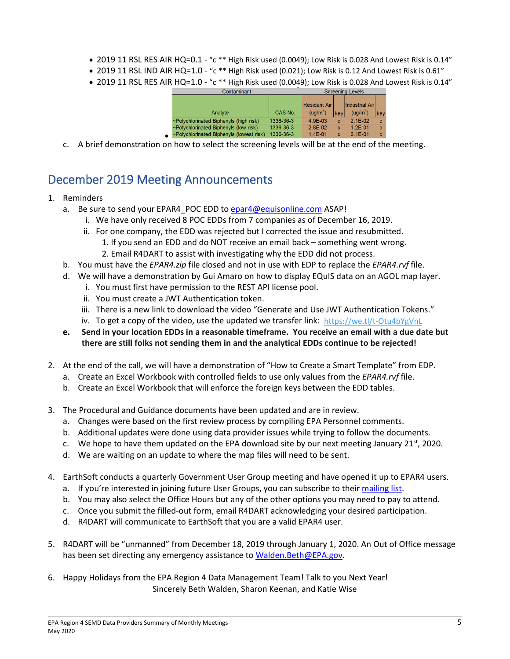- 2019 11 RSL RES AIR HQ=0.1 "c \*\* High Risk used (0.0049); Low Risk is 0.028 And Lowest Risk is 0.14"
- 2019 11 RSL IND AIR HQ=1.0 "c \*\* High Risk used (0.021); Low Risk is 0.12 And Lowest Risk is 0.61"
- 2019 11 RSL RES AIR HQ=1.0 "c \*\* High Risk used (0.0049); Low Risk is 0.028 And Lowest Risk is 0.14"

|           | Contamınant                              |           | Screening Levels     |     |                        |     |
|-----------|------------------------------------------|-----------|----------------------|-----|------------------------|-----|
|           |                                          |           | <b>Resident Air</b>  |     | <b>Industrial Airl</b> |     |
|           | Analyte                                  | CAS No.   | (ug/m <sup>3</sup> ) | key | (ug/m <sup>3</sup> )   | key |
|           | ~Polychlorinated Biphenyls (high risk)   | 1336-36-3 | 4.9F-03              | c   | $2.1E-02$              | c   |
|           | ~Polychlorinated Biphenyls (low risk)    | 1336-36-3 | $2.8E-02$            | c   | $1.2F - 01$            | c   |
| $\bullet$ | ~Polychlorinated Biphenyls (lowest risk) | 1336-36-3 | $1.4E - 01$          | c   | $6.1E - 01$            | c   |

c. A brief demonstration on how to select the screening levels will be at the end of the meeting.

### December 2019 Meeting Announcements

#### 1. Reminders

- a. Be sure to send your EPAR4\_POC EDD to [epar4@equisonline.com](mailto:epar4@equisonline.com) ASAP!
	- i. We have only received 8 POC EDDs from 7 companies as of December 16, 2019.
	- ii. For one company, the EDD was rejected but I corrected the issue and resubmitted. 1. If you send an EDD and do NOT receive an email back – something went wrong.
		- 2. Email R4DART to assist with investigating why the EDD did not process.
- b. You must have the *EPAR4.zip* file closed and not in use with EDP to replace the *EPAR4.rvf* file.
- d. We will have a demonstration by Gui Amaro on how to display EQuIS data on an AGOL map layer.
	- i. You must first have permission to the REST API license pool.
	- ii. You must create a JWT Authentication token.
	- iii. There is a new link to download the video "Generate and Use JWT Authentication Tokens."
	- iv. To get a copy of the video, use the updated we transfer link: <https://we.tl/t-Otu4bYgVnL>
- **e. Send in your location EDDs in a reasonable timeframe. You receive an email with a due date but there are still folks not sending them in and the analytical EDDs continue to be rejected!**
- 2. At the end of the call, we will have a demonstration of "How to Create a Smart Template" from EDP.
	- a. Create an Excel Workbook with controlled fields to use only values from the *EPAR4.rvf* file.
	- b. Create an Excel Workbook that will enforce the foreign keys between the EDD tables.
- 3. The Procedural and Guidance documents have been updated and are in review.
	- a. Changes were based on the first review process by compiling EPA Personnel comments.
	- b. Additional updates were done using data provider issues while trying to follow the documents.
	- c. We hope to have them updated on the EPA download site by our next meeting January 21st, 2020.
	- d. We are waiting on an update to where the map files will need to be sent.
- 4. EarthSoft conducts a quarterly Government User Group meeting and have opened it up to EPAR4 users.
	- a. If you're interested in joining future User Groups, you can subscribe to thei[r mailing list.](https://earthsoft.us16.list-manage.com/subscribe?u=37901ea741202322d02ccc80b&id=59ed809b70)
	- b. You may also select the Office Hours but any of the other options you may need to pay to attend.
	- c. Once you submit the filled-out form, email R4DART acknowledging your desired participation.
	- d. R4DART will communicate to EarthSoft that you are a valid EPAR4 user.
- 5. R4DART will be "unmanned" from December 18, 2019 through January 1, 2020. An Out of Office message has been set directing any emergency assistance to [Walden.Beth@EPA.gov.](mailto:Walden.Beth@EPA.gov)
- 6. Happy Holidays from the EPA Region 4 Data Management Team! Talk to you Next Year! Sincerely Beth Walden, Sharon Keenan, and Katie Wise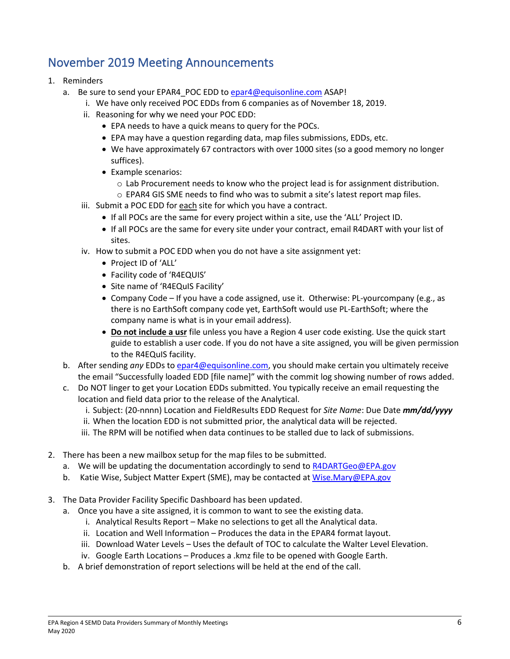### November 2019 Meeting Announcements

- 1. Reminders
	- a. Be sure to send your EPAR4 POC EDD to [epar4@equisonline.com](mailto:epar4@equisonline.com) ASAP!
		- i. We have only received POC EDDs from 6 companies as of November 18, 2019.
		- ii. Reasoning for why we need your POC EDD:
			- EPA needs to have a quick means to query for the POCs.
			- EPA may have a question regarding data, map files submissions, EDDs, etc.
			- We have approximately 67 contractors with over 1000 sites (so a good memory no longer suffices).
			- Example scenarios:
				- $\circ$  Lab Procurement needs to know who the project lead is for assignment distribution.
				- $\circ$  EPAR4 GIS SME needs to find who was to submit a site's latest report map files.
		- iii. Submit a POC EDD for each site for which you have a contract.
			- If all POCs are the same for every project within a site, use the 'ALL' Project ID.
			- If all POCs are the same for every site under your contract, email R4DART with your list of sites.
		- iv. How to submit a POC EDD when you do not have a site assignment yet:
			- Project ID of 'ALL'
			- Facility code of 'R4EQUIS'
			- Site name of 'R4EQuIS Facility'
			- Company Code If you have a code assigned, use it. Otherwise: PL-yourcompany (e.g., as there is no EarthSoft company code yet, EarthSoft would use PL-EarthSoft; where the company name is what is in your email address).
			- **Do not include a usr** file unless you have a Region 4 user code existing. Use the quick start guide to establish a user code. If you do not have a site assigned, you will be given permission to the R4EQuIS facility.
	- b. After sending *any* EDDs t[o epar4@equisonline.com,](mailto:epar4@equisonline.com) you should make certain you ultimately receive the email "Successfully loaded EDD [file name]" with the commit log showing number of rows added.
	- c. Do NOT linger to get your Location EDDs submitted. You typically receive an email requesting the location and field data prior to the release of the Analytical.
		- i. Subject: (20-nnnn) Location and FieldResults EDD Request for *Site Name*: Due Date *mm/dd/yyyy*
		- ii. When the location EDD is not submitted prior, the analytical data will be rejected.
		- iii. The RPM will be notified when data continues to be stalled due to lack of submissions.
- 2. There has been a new mailbox setup for the map files to be submitted.
	- a. We will be updating the documentation accordingly to send to [R4DARTGeo@EPA.gov](mailto:R4DARTGeo@EPA.gov)
	- b. Katie Wise, Subject Matter Expert (SME), may be contacted at [Wise.Mary@EPA.gov](mailto:Wise.Mary@EPA.gov)
- 3. The Data Provider Facility Specific Dashboard has been updated.
	- a. Once you have a site assigned, it is common to want to see the existing data.
		- i. Analytical Results Report Make no selections to get all the Analytical data.
		- ii. Location and Well Information Produces the data in the EPAR4 format layout.
		- iii. Download Water Levels Uses the default of TOC to calculate the Walter Level Elevation.
		- iv. Google Earth Locations Produces a .kmz file to be opened with Google Earth.
	- b. A brief demonstration of report selections will be held at the end of the call.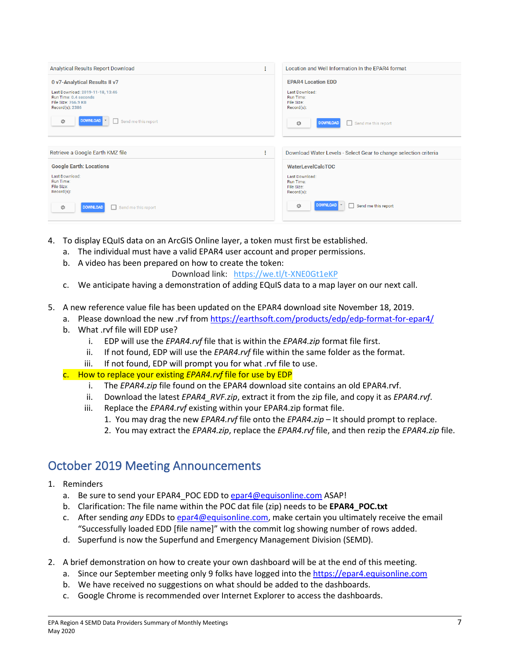| Analytical Results Report Download<br>÷                                                                    |  | Location and Well Information In the EPAR4 format                 |
|------------------------------------------------------------------------------------------------------------|--|-------------------------------------------------------------------|
| 0 v7-Analytical Results II v7                                                                              |  | <b>EPAR4 Location EDD</b>                                         |
| Last Download: 2019-11-18, 13:46<br>Run Time: 0.4 seconds<br><b>File Size: 766.9 KB</b><br>Record(s): 2386 |  | Last Download:<br>Run Time:<br>File Size:<br>$Record(s)$ :        |
| <b>DOWNLOAD</b><br>Send me this report<br>章                                                                |  | 登<br><b>DOWNLOAD</b><br>Send me this report<br>□                  |
|                                                                                                            |  |                                                                   |
| Retrieve a Google Earth KMZ file<br>÷                                                                      |  | Download Water Levels - Select Gear to change selection criteria  |
| <b>Google Earth: Locations</b>                                                                             |  | <b>WaterLevelCalcTOC</b>                                          |
| Last Download:<br><b>Run Time:</b><br>File Size:<br>Record(s):                                             |  | Last Download:<br><b>Run Time:</b><br>File Size:<br>$Record(s)$ : |
| <b>DOWNLOAD</b><br>Send me this report<br>章                                                                |  | <b>DOWNLOAD</b><br>登<br>Send me this report                       |

- 4. To display EQuIS data on an ArcGIS Online layer, a token must first be established.
	- a. The individual must have a valid EPAR4 user account and proper permissions.
	- b. A video has been prepared on how to create the token:
		- Download link: <https://we.tl/t-XNE0Gt1eKP>
	- c. We anticipate having a demonstration of adding EQuIS data to a map layer on our next call.
- 5. A new reference value file has been updated on the EPAR4 download site November 18, 2019.
	- a. Please download the new .rvf fro[m https://earthsoft.com/products/edp/edp-format-for-epar4/](https://earthsoft.com/products/edp/edp-format-for-epar4/)
	- b. What .rvf file will EDP use?
		- i. EDP will use the *EPAR4.rvf* file that is within the *EPAR4.zip* format file first.
		- ii. If not found, EDP will use the *EPAR4.rvf* file within the same folder as the format.
		- iii. If not found, EDP will prompt you for what .rvf file to use.
	- c. How to replace your existing *EPAR4.rvf* file for use by EDP
		- i. The *EPAR4.zip* file found on the EPAR4 download site contains an old EPAR4.rvf.
		- ii. Download the latest *EPAR4\_RVF.zip*, extract it from the zip file, and copy it as *EPAR4.rvf*.
		- iii. Replace the *EPAR4.rvf* existing within your EPAR4.zip format file.
			- 1. You may drag the new *EPAR4.rvf* file onto the *EPAR4.zip* It should prompt to replace.
			- 2. You may extract the *EPAR4.zip*, replace the *EPAR4.rvf* file, and then rezip the *EPAR4.zip* file.

#### October 2019 Meeting Announcements

- 1. Reminders
	- a. Be sure to send your EPAR4 POC EDD to [epar4@equisonline.com](mailto:epar4@equisonline.com) ASAP!
	- b. Clarification: The file name within the POC dat file (zip) needs to be **EPAR4\_POC.txt**
	- c. After sending *any* EDDs t[o epar4@equisonline.com,](mailto:epar4@equisonline.com) make certain you ultimately receive the email "Successfully loaded EDD [file name]" with the commit log showing number of rows added.
	- d. Superfund is now the Superfund and Emergency Management Division (SEMD).
- 2. A brief demonstration on how to create your own dashboard will be at the end of this meeting.
	- a. Since our September meeting only 9 folks have logged into the [https://epar4.equisonline.com](https://epar4.equisonline.com/)
	- b. We have received no suggestions on what should be added to the dashboards.
	- c. Google Chrome is recommended over Internet Explorer to access the dashboards.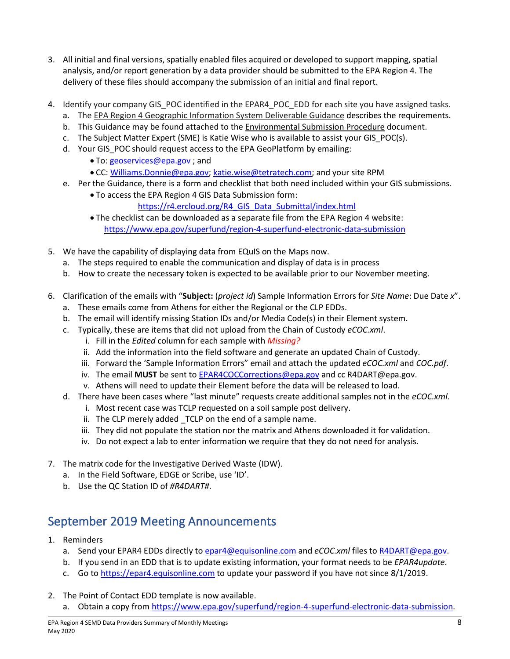- 3. All initial and final versions, spatially enabled files acquired or developed to support mapping, spatial analysis, and/or report generation by a data provider should be submitted to the EPA Region 4. The delivery of these files should accompany the submission of an initial and final report.
- 4. Identify your company GIS\_POC identified in the EPAR4\_POC\_EDD for each site you have assigned tasks.
	- a. The EPA Region 4 Geographic Information System Deliverable Guidance describes the requirements.
	- b. This Guidance may be found attached to the Environmental Submission Procedure document.
	- c. The Subject Matter Expert (SME) is Katie Wise who is available to assist your GIS POC(s).
	- d. Your GIS POC should request access to the EPA GeoPlatform by emailing:
		- To: [geoservices@epa.gov](mailto:geoservices@epa.gov) ; and
		- CC: [Williams.Donnie@epa.gov;](mailto:Williams.Donnie@epa.gov) [katie.wise@tetratech.com;](mailto:katie.wise@tetratech.com) and your site RPM
	- e. Per the Guidance, there is a form and checklist that both need included within your GIS submissions.
		- To access the EPA Region 4 GIS Data Submission form:
			- [https://r4.ercloud.org/R4\\_GIS\\_Data\\_Submittal/index.html](https://r4.ercloud.org/R4_GIS_Data_Submittal/index.html)
		- The checklist can be downloaded as a separate file from the EPA Region 4 website: <https://www.epa.gov/superfund/region-4-superfund-electronic-data-submission>
- 5. We have the capability of displaying data from EQuIS on the Maps now.
	- a. The steps required to enable the communication and display of data is in process
	- b. How to create the necessary token is expected to be available prior to our November meeting.
- 6. Clarification of the emails with "**Subject:** (*project id*) Sample Information Errors for *Site Name*: Due Date *x*".
	- a. These emails come from Athens for either the Regional or the CLP EDDs.
	- b. The email will identify missing Station IDs and/or Media Code(s) in their Element system.
	- c. Typically, these are items that did not upload from the Chain of Custody *eCOC.xml*.
		- i. Fill in the *Edited* column for each sample with *Missing?*
		- ii. Add the information into the field software and generate an updated Chain of Custody.
		- iii. Forward the 'Sample Information Errors" email and attach the updated *eCOC.xml* and *COC.pdf*.
		- iv. The email **MUST** be sent t[o EPAR4COCCorrections@epa.gov](mailto:EPAR4COCCorrections@epa.gov) and cc R4DART@epa.gov.
		- v. Athens will need to update their Element before the data will be released to load.
	- d. There have been cases where "last minute" requests create additional samples not in the *eCOC.xml*.
		- i. Most recent case was TCLP requested on a soil sample post delivery.
		- ii. The CLP merely added TCLP on the end of a sample name.
		- iii. They did not populate the station nor the matrix and Athens downloaded it for validation.
		- iv. Do not expect a lab to enter information we require that they do not need for analysis.
- 7. The matrix code for the Investigative Derived Waste (IDW).
	- a. In the Field Software, EDGE or Scribe, use 'ID'.
	- b. Use the QC Station ID of *#R4DART#*.

# September 2019 Meeting Announcements

- 1. Reminders
	- a. Send your EPAR4 EDDs directly to [epar4@equisonline.com](mailto:epar4@equisonline.com) and *eCOC.xml* files to [R4DART@epa.gov.](mailto:r4dart@epa.gov)
	- b. If you send in an EDD that is to update existing information, your format needs to be *EPAR4update*.
	- c. Go to [https://epar4.equisonline.com](https://epar4.equisonline.com/) to update your password if you have not since 8/1/2019.
- 2. The Point of Contact EDD template is now available.
	- a. Obtain a copy from [https://www.epa.gov/superfund/region-4-superfund-electronic-data-submission.](https://www.epa.gov/superfund/region-4-superfund-electronic-data-submission)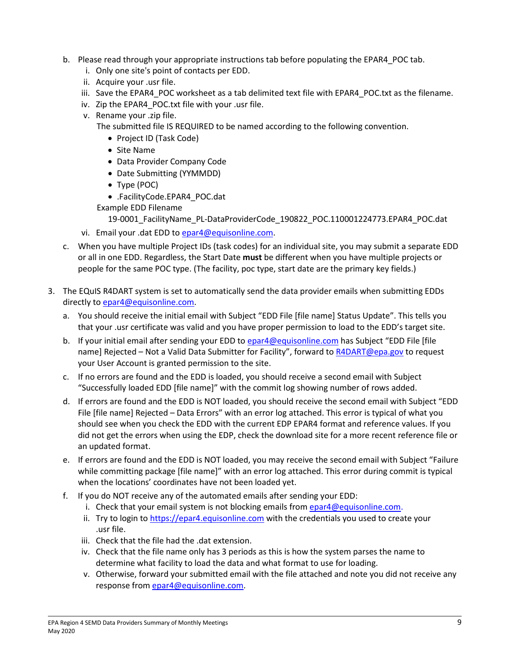- b. Please read through your appropriate instructions tab before populating the EPAR4 POC tab.
	- i. Only one site's point of contacts per EDD.
	- ii. Acquire your .usr file.
	- iii. Save the EPAR4 POC worksheet as a tab delimited text file with EPAR4 POC.txt as the filename.
	- iv. Zip the EPAR4\_POC.txt file with your .usr file.
	- v. Rename your .zip file.

The submitted file IS REQUIRED to be named according to the following convention.

- Project ID (Task Code)
- Site Name
- Data Provider Company Code
- Date Submitting (YYMMDD)
- Type (POC)
- .FacilityCode.EPAR4\_POC.dat
- Example EDD Filename

19-0001\_FacilityName\_PL-DataProviderCode\_190822\_POC.110001224773.EPAR4\_POC.dat

- vi. Email your .dat EDD to [epar4@equisonline.com.](mailto:epar4@equisonline.com)
- c. When you have multiple Project IDs (task codes) for an individual site, you may submit a separate EDD or all in one EDD. Regardless, the Start Date **must** be different when you have multiple projects or people for the same POC type. (The facility, poc type, start date are the primary key fields.)
- 3. The EQuIS R4DART system is set to automatically send the data provider emails when submitting EDDs directly to **epar4@equisonline.com**.
	- a. You should receive the initial email with Subject "EDD File [file name] Status Update". This tells you that your .usr certificate was valid and you have proper permission to load to the EDD's target site.
	- b. If your initial email after sending your EDD to [epar4@equisonline.com](mailto:epar4@equisonline.com) has Subject "EDD File [file name] Rejected - Not a Valid Data Submitter for Facility", forward to [R4DART@epa.gov](mailto:R4DART@epa.gov) to request your User Account is granted permission to the site.
	- c. If no errors are found and the EDD is loaded, you should receive a second email with Subject "Successfully loaded EDD [file name]" with the commit log showing number of rows added.
	- d. If errors are found and the EDD is NOT loaded, you should receive the second email with Subject "EDD File [file name] Rejected – Data Errors" with an error log attached. This error is typical of what you should see when you check the EDD with the current EDP EPAR4 format and reference values. If you did not get the errors when using the EDP, check the download site for a more recent reference file or an updated format.
	- e. If errors are found and the EDD is NOT loaded, you may receive the second email with Subject "Failure while committing package [file name]" with an error log attached. This error during commit is typical when the locations' coordinates have not been loaded yet.
	- f. If you do NOT receive any of the automated emails after sending your EDD:
		- i. Check that your email system is not blocking emails from  $e$ par4@equisonline.com.
		- ii. Try to login to [https://epar4.equisonline.com](https://epar4.equisonline.com/) with the credentials you used to create your .usr file.
		- iii. Check that the file had the .dat extension.
		- iv. Check that the file name only has 3 periods as this is how the system parses the name to determine what facility to load the data and what format to use for loading.
		- v. Otherwise, forward your submitted email with the file attached and note you did not receive any response fro[m epar4@equisonline.com.](mailto:epar4@equisonline.com)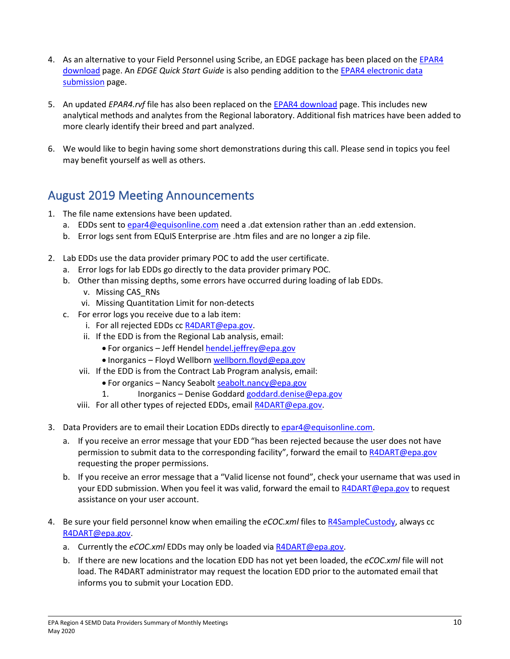- 4. As an alternative to your Field Personnel using Scribe, an EDGE package has been placed on the EPAR4 [download](https://earthsoft.com/products/edp/edp-format-for-epar4/) page. An *EDGE Quick Start Guide* is also pending addition to the [EPAR4 electronic data](https://www.epa.gov/superfund/region-4-superfund-electronic-data-submission)  [submission](https://www.epa.gov/superfund/region-4-superfund-electronic-data-submission) page.
- 5. An updated *EPAR4.rvf* file has also been replaced on the [EPAR4 download](https://earthsoft.com/products/edp/edp-format-for-epar4/) page. This includes new analytical methods and analytes from the Regional laboratory. Additional fish matrices have been added to more clearly identify their breed and part analyzed.
- 6. We would like to begin having some short demonstrations during this call. Please send in topics you feel may benefit yourself as well as others.

### August 2019 Meeting Announcements

- 1. The file name extensions have been updated.
	- a. EDDs sent to [epar4@equisonline.com](mailto:epar4@equisonline.com) need a .dat extension rather than an .edd extension.
	- b. Error logs sent from EQuIS Enterprise are .htm files and are no longer a zip file.
- 2. Lab EDDs use the data provider primary POC to add the user certificate.
	- a. Error logs for lab EDDs go directly to the data provider primary POC.
	- b. Other than missing depths, some errors have occurred during loading of lab EDDs.
		- v. Missing CAS\_RNs
		- vi. Missing Quantitation Limit for non-detects
	- c. For error logs you receive due to a lab item:
		- i. For all rejected EDDs cc [R4DART@epa.gov.](mailto:R4DART@epa.gov)
		- ii. If the EDD is from the Regional Lab analysis, email:
			- For organics Jeff Hendel [hendel.jeffrey@epa.gov](mailto:hendel.jeffrey@epa.gov)
			- Inorganics Floyd Wellbor[n wellborn.floyd@epa.gov](mailto:wellborn.floyd@epa.gov)
		- vii. If the EDD is from the Contract Lab Program analysis, email:
			- For organics Nancy Seabolt [seabolt.nancy@epa.gov](mailto:Seabolt.nancy@epa.gov)
			- 1. Inorganics Denise Goddard [goddard.denise@epa.gov](mailto:goddard.denise@epa.gov)
		- viii. For all other types of rejected EDDs, emai[l R4DART@epa.gov.](mailto:R4DART@epa.gov)
- 3. Data Providers are to email their Location EDDs directly to [epar4@equisonline.com.](mailto:epar4@equisonline.com)
	- a. If you receive an error message that your EDD "has been rejected because the user does not have permission to submit data to the corresponding facility", forward the email t[o R4DART@epa.gov](mailto:R4DART@epa.gov) requesting the proper permissions.
	- b. If you receive an error message that a "Valid license not found", check your username that was used in your EDD submission. When you feel it was valid, forward the email to [R4DART@epa.gov](mailto:R4DART@epa.gov) to request assistance on your user account.
- 4. Be sure your field personnel know when emailing the *eCOC.xml* files to [R4SampleCustody,](mailto:R4SampleCustody@epa.gov) always cc [R4DART@epa.gov.](mailto:R4DART@epa.gov)
	- a. Currently the *eCOC.xml* EDDs may only be loaded vi[a R4DART@epa.gov.](mailto:R4DART@epa.gov)
	- b. If there are new locations and the location EDD has not yet been loaded, the *eCOC.xml* file will not load. The R4DART administrator may request the location EDD prior to the automated email that informs you to submit your Location EDD.